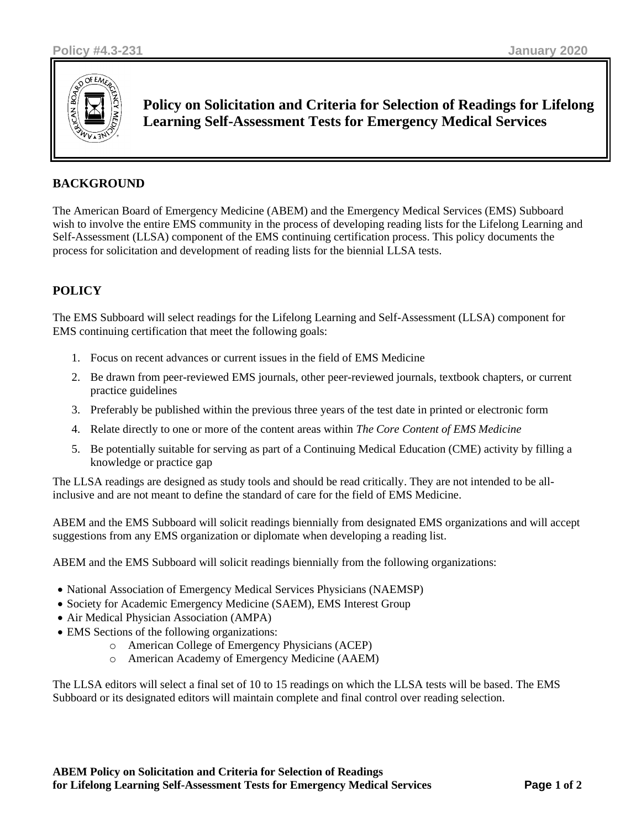

**Policy on Solicitation and Criteria for Selection of Readings for Lifelong Learning Self-Assessment Tests for Emergency Medical Services**

### **BACKGROUND**

The American Board of Emergency Medicine (ABEM) and the Emergency Medical Services (EMS) Subboard wish to involve the entire EMS community in the process of developing reading lists for the Lifelong Learning and Self-Assessment (LLSA) component of the EMS continuing certification process. This policy documents the process for solicitation and development of reading lists for the biennial LLSA tests.

# **POLICY**

The EMS Subboard will select readings for the Lifelong Learning and Self-Assessment (LLSA) component for EMS continuing certification that meet the following goals:

- 1. Focus on recent advances or current issues in the field of EMS Medicine
- 2. Be drawn from peer-reviewed EMS journals, other peer-reviewed journals, textbook chapters, or current practice guidelines
- 3. Preferably be published within the previous three years of the test date in printed or electronic form
- 4. Relate directly to one or more of the content areas within *The Core Content of EMS Medicine*
- 5. Be potentially suitable for serving as part of a Continuing Medical Education (CME) activity by filling a knowledge or practice gap

The LLSA readings are designed as study tools and should be read critically. They are not intended to be allinclusive and are not meant to define the standard of care for the field of EMS Medicine.

ABEM and the EMS Subboard will solicit readings biennially from designated EMS organizations and will accept suggestions from any EMS organization or diplomate when developing a reading list.

ABEM and the EMS Subboard will solicit readings biennially from the following organizations:

- National Association of Emergency Medical Services Physicians (NAEMSP)
- Society for Academic Emergency Medicine (SAEM), EMS Interest Group
- Air Medical Physician Association (AMPA)
- EMS Sections of the following organizations:
	- o American College of Emergency Physicians (ACEP)
	- o American Academy of Emergency Medicine (AAEM)

The LLSA editors will select a final set of 10 to 15 readings on which the LLSA tests will be based. The EMS Subboard or its designated editors will maintain complete and final control over reading selection.